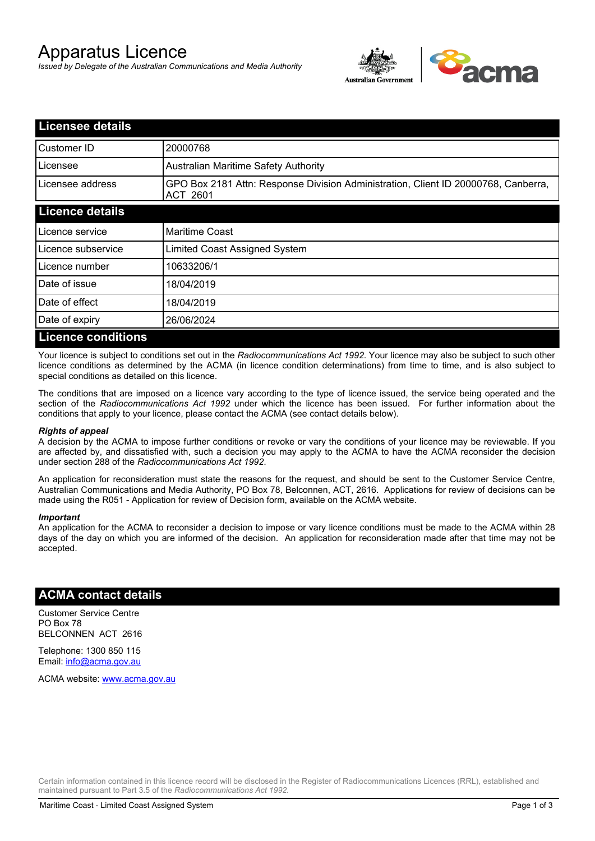# Apparatus Licence

*Issued by Delegate of the Australian Communications and Media Authority*



| <b>Licensee details</b>   |                                                                                                       |  |
|---------------------------|-------------------------------------------------------------------------------------------------------|--|
| Customer ID               | 20000768                                                                                              |  |
| Licensee                  | <b>Australian Maritime Safety Authority</b>                                                           |  |
| Licensee address          | GPO Box 2181 Attn: Response Division Administration, Client ID 20000768, Canberra,<br><b>ACT 2601</b> |  |
| <b>Licence details</b>    |                                                                                                       |  |
| Licence service           | <b>Maritime Coast</b>                                                                                 |  |
| Licence subservice        | Limited Coast Assigned System                                                                         |  |
| Licence number            | 10633206/1                                                                                            |  |
| Date of issue             | 18/04/2019                                                                                            |  |
| Date of effect            | 18/04/2019                                                                                            |  |
| Date of expiry            | 26/06/2024                                                                                            |  |
| <b>Licence conditions</b> |                                                                                                       |  |

Your licence is subject to conditions set out in the *Radiocommunications Act 1992*. Your licence may also be subject to such other licence conditions as determined by the ACMA (in licence condition determinations) from time to time, and is also subject to special conditions as detailed on this licence.

The conditions that are imposed on a licence vary according to the type of licence issued, the service being operated and the section of the *Radiocommunications Act 1992* under which the licence has been issued. For further information about the conditions that apply to your licence, please contact the ACMA (see contact details below).

#### *Rights of appeal*

A decision by the ACMA to impose further conditions or revoke or vary the conditions of your licence may be reviewable. If you are affected by, and dissatisfied with, such a decision you may apply to the ACMA to have the ACMA reconsider the decision under section 288 of the *Radiocommunications Act 1992*.

An application for reconsideration must state the reasons for the request, and should be sent to the Customer Service Centre, Australian Communications and Media Authority, PO Box 78, Belconnen, ACT, 2616. Applications for review of decisions can be made using the R051 - Application for review of Decision form, available on the ACMA website.

#### *Important*

An application for the ACMA to reconsider a decision to impose or vary licence conditions must be made to the ACMA within 28 days of the day on which you are informed of the decision. An application for reconsideration made after that time may not be accepted.

### **ACMA contact details**

Customer Service Centre PO Box 78 BELCONNEN ACT 2616

Telephone: 1300 850 115 Email: info@acma.gov.au

ACMA website: www.acma.gov.au

Certain information contained in this licence record will be disclosed in the Register of Radiocommunications Licences (RRL), established and maintained pursuant to Part 3.5 of the *Radiocommunications Act 1992.*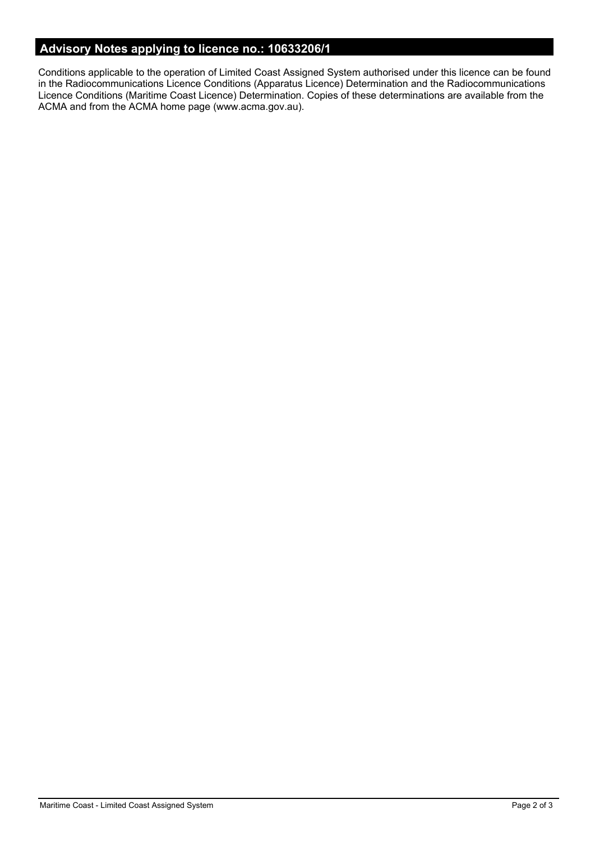# **Advisory Notes applying to licence no.: 10633206/1**

Conditions applicable to the operation of Limited Coast Assigned System authorised under this licence can be found in the Radiocommunications Licence Conditions (Apparatus Licence) Determination and the Radiocommunications Licence Conditions (Maritime Coast Licence) Determination. Copies of these determinations are available from the ACMA and from the ACMA home page (www.acma.gov.au).